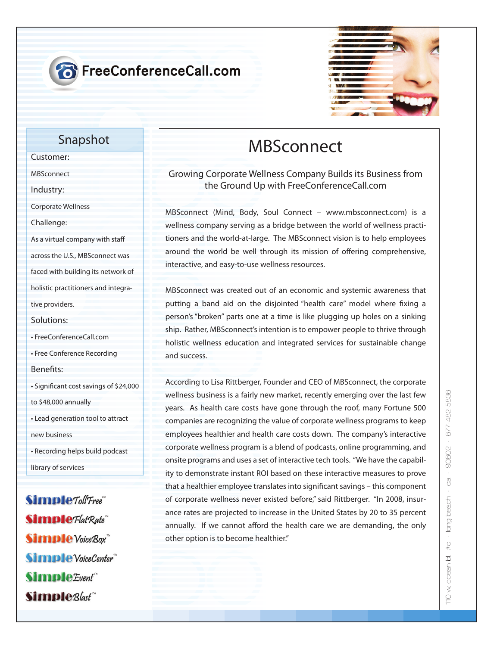



### **Snapshot**

**Customer:**

**MBSconnect**

**Industry:**

**Corporate Wellness**

**Challenge:**

As a virtual company with staff

**across the U.S., MBSconnect was** 

**faced with building its network of** 

**holistic practitioners and integra-**

**tive providers.**

**Solutions:**

**• FreeConferenceCall.com**

**• Free Conference Recording**

**Benets:**

**• Signicant cost savings of \$24,000** 

**to \$48,000 annually** 

**• Lead generation tool to attract new business**

**• Recording helps build podcast** 

**library of services**

Simple Toll Free" **Simple** Flat Rate **Simple** Voice Box **Simple** VoiceCenter<sup>"</sup> Simple Event<sup>\*\*</sup> Simple<sub>Blast</sub>

# **MBSconnect**

### **Growing Corporate Wellness Company Builds its Business from the Ground Up with FreeConferenceCall.com**

MBSconnect (Mind, Body, Soul Connect – www.mbsconnect.com) is a wellness company serving as a bridge between the world of wellness practitioners and the world-at-large. The MBSconnect vision is to help employees around the world be well through its mission of offering comprehensive, interactive, and easy-to-use wellness resources.

MBSconnect was created out of an economic and systemic awareness that putting a band aid on the disjointed "health care" model where fixing a person's "broken" parts one at a time is like plugging up holes on a sinking ship. Rather, MBSconnect's intention is to empower people to thrive through holistic wellness education and integrated services for sustainable change and success.

According to Lisa Rittberger, Founder and CEO of MBSconnect, the corporate wellness business is a fairly new market, recently emerging over the last few years. As health care costs have gone through the roof, many Fortune 500 companies are recognizing the value of corporate wellness programs to keep employees healthier and health care costs down. The company's interactive corporate wellness program is a blend of podcasts, online programming, and onsite programs and uses a set of interactive tech tools. "We have the capability to demonstrate instant ROI based on these interactive measures to prove that a healthier employee translates into significant savings - this component of corporate wellness never existed before," said Rittberger. "In 2008, insurance rates are projected to increase in the United States by 20 to 35 percent annually. If we cannot afford the health care we are demanding, the only other option is to become healthier."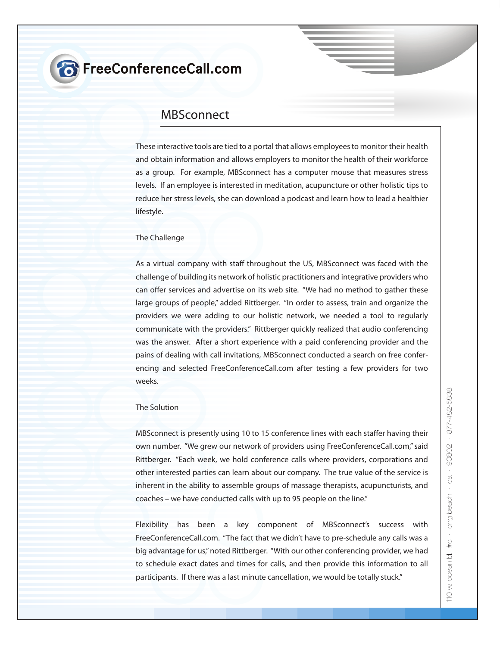## **8** FreeConferenceCall.com

### **MBSconnect**

**These interactive tools are tied to a portal that allows employees to monitor their health and obtain information and allows employers to monitor the health of their workforce as a group. For example, MBSconnect has a computer mouse that measures stress levels. If an employee is interested in meditation, acupuncture or other holistic tips to reduce her stress levels, she can download a podcast and learn how to lead a healthier lifestyle.**

#### **The Challenge**

As a virtual company with staff throughout the US, MBSconnect was faced with the **challenge of building its network of holistic practitioners and integrative providers who**  can offer services and advertise on its web site. "We had no method to gather these **large groups of people," added Rittberger. "In order to assess, train and organize the providers we were adding to our holistic network, we needed a tool to regularly communicate with the providers." Rittberger quickly realized that audio conferencing was the answer. After a short experience with a paid conferencing provider and the pains of dealing with call invitations, MBSconnect conducted a search on free conferencing and selected FreeConferenceCall.com after testing a few providers for two weeks.**

#### **The Solution**

**MBSconnect is presently using 10 to 15 conference lines with each staffer having their own number. "We grew our network of providers using FreeConferenceCall.com," said Rittberger. "Each week, we hold conference calls where providers, corporations and other interested parties can learn about our company. The true value of the service is inherent in the ability to assemble groups of massage therapists, acupuncturists, and coaches – we have conducted calls with up to 95 people on the line."**

**Flexibility has been a key component of MBSconnect's success with FreeConferenceCall.com. "The fact that we didn't have to pre-schedule any calls was a big advantage for us," noted Rittberger. "With our other conferencing provider, we had to schedule exact dates and times for calls, and then provide this information to all participants. If there was a last minute cancellation, we would be totally stuck."**